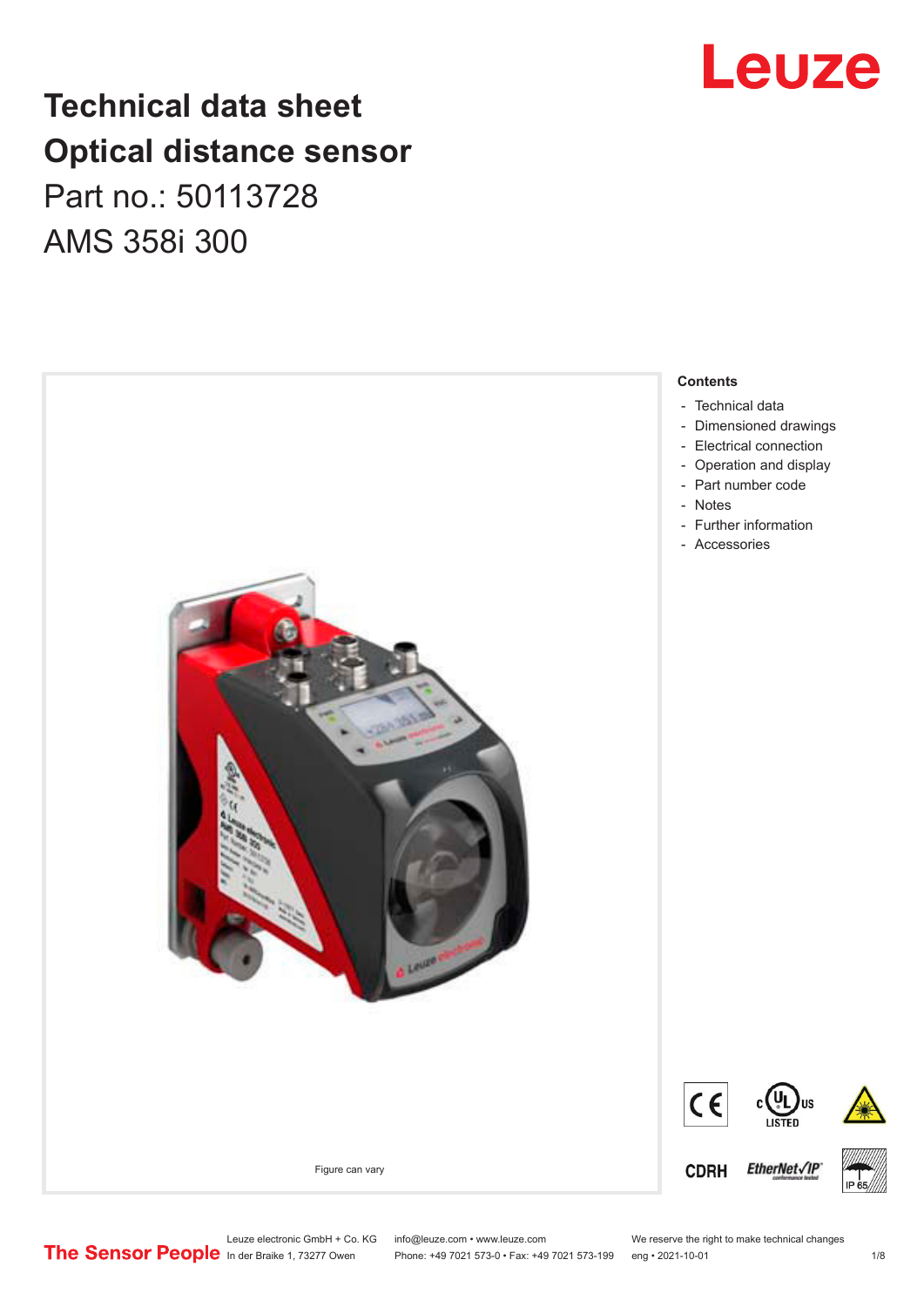### **Technical data sheet Optical distance sensor** Part no.: 50113728 AMS 358i 300



### Leuze

Leuze electronic GmbH + Co. KG info@leuze.com • www.leuze.com We reserve the right to make technical changes<br>
The Sensor People in der Braike 1, 73277 Owen Phone: +49 7021 573-0 • Fax: +49 7021 573-199 eng • 2021-10-01

Phone: +49 7021 573-0 • Fax: +49 7021 573-199 eng • 2021-10-01 1 2021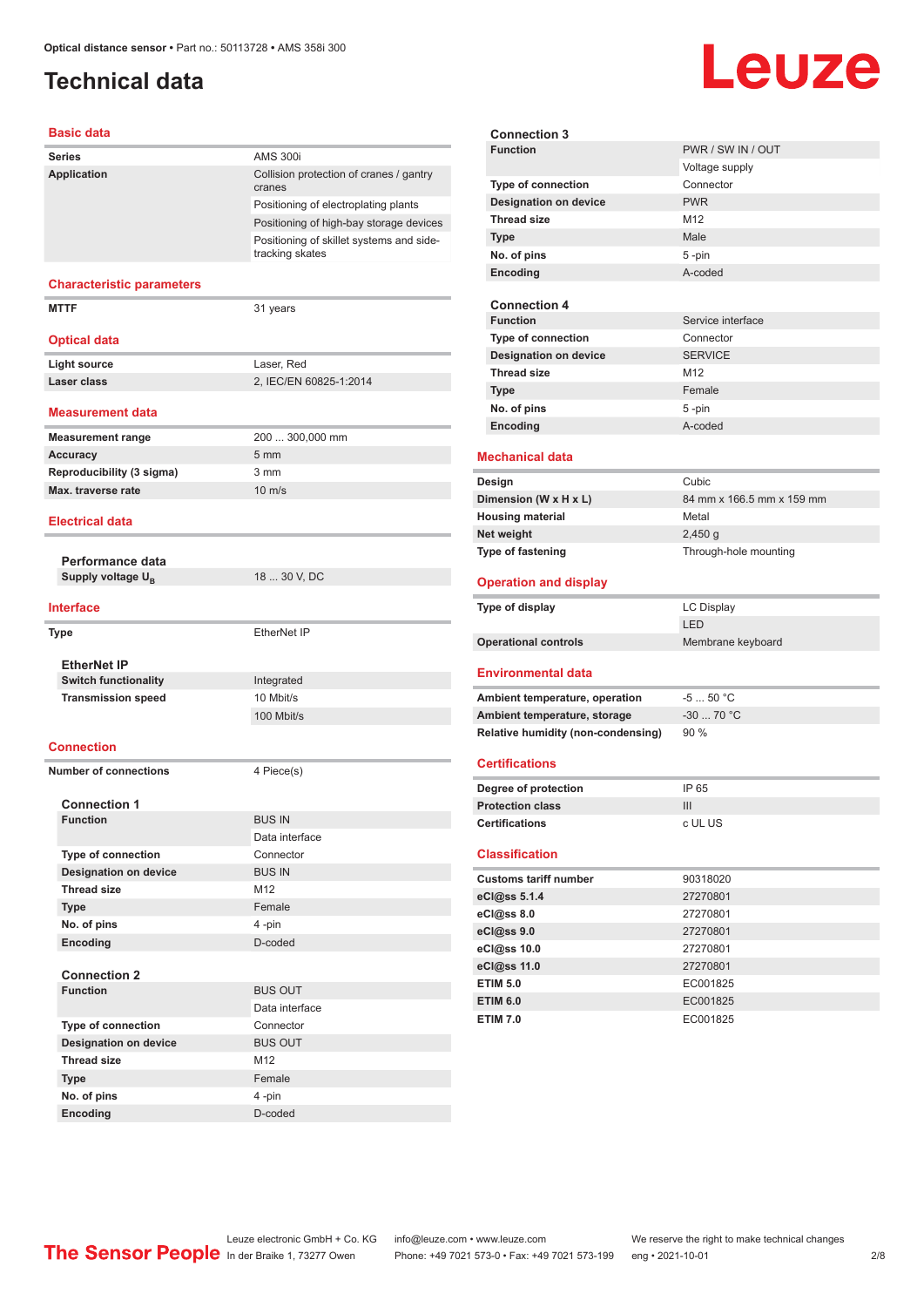### <span id="page-1-0"></span>**Technical data**

# **Leuze**

#### **Basic data**

| <b>Series</b>                    | <b>AMS 300i</b>                                             |
|----------------------------------|-------------------------------------------------------------|
| Application                      | Collision protection of cranes / gantry<br>cranes           |
|                                  | Positioning of electroplating plants                        |
|                                  | Positioning of high-bay storage devices                     |
|                                  | Positioning of skillet systems and side-<br>tracking skates |
| <b>Characteristic parameters</b> |                                                             |
| <b>MTTF</b>                      | 31 years                                                    |
| <b>Optical data</b>              |                                                             |
| <b>Light source</b>              | Laser, Red                                                  |
| Laser class                      | 2, IEC/EN 60825-1:2014                                      |
| Measurement data                 |                                                             |
| <b>Measurement range</b>         | 200  300,000 mm                                             |
| <b>Accuracy</b>                  | $5 \text{ mm}$                                              |
| Reproducibility (3 sigma)        | $3 \, \text{mm}$                                            |
| Max. traverse rate               | $10 \text{ m/s}$                                            |
| <b>Electrical data</b>           |                                                             |
| Performance data                 |                                                             |
| Supply voltage U <sub>B</sub>    | 18  30 V, DC                                                |
| <b>Interface</b>                 |                                                             |
| <b>Type</b>                      | EtherNet IP                                                 |
|                                  |                                                             |
| <b>EtherNet IP</b>               |                                                             |
| <b>Switch functionality</b>      | Integrated                                                  |
| <b>Transmission speed</b>        | 10 Mbit/s<br>100 Mbit/s                                     |
|                                  |                                                             |
| <b>Connection</b>                |                                                             |
| <b>Number of connections</b>     | 4 Piece(s)                                                  |
| <b>Connection 1</b>              |                                                             |
| <b>Function</b>                  | <b>BUS IN</b>                                               |
|                                  | Data interface                                              |
| <b>Type of connection</b>        | Connector                                                   |
| <b>Designation on device</b>     | <b>BUS IN</b>                                               |
| <b>Thread size</b>               | M12                                                         |
| <b>Type</b>                      | Female                                                      |
| No. of pins                      | 4 -pin                                                      |
| Encoding                         | D-coded                                                     |
| <b>Connection 2</b>              |                                                             |
| <b>Function</b>                  | <b>BUS OUT</b>                                              |
|                                  | Data interface                                              |
| <b>Type of connection</b>        | Connector                                                   |
| <b>Designation on device</b>     | <b>BUS OUT</b>                                              |
| <b>Thread size</b>               | M12                                                         |
| <b>Type</b>                      | Female                                                      |
| No. of pins                      | 4-pin                                                       |
| Encoding                         | D-coded                                                     |

| Connection 3                                    |                           |
|-------------------------------------------------|---------------------------|
| <b>Function</b>                                 | PWR / SW IN / OUT         |
|                                                 | Voltage supply            |
| Type of connection                              | Connector                 |
| <b>Designation on device</b>                    | <b>PWR</b>                |
| <b>Thread size</b>                              | M <sub>12</sub>           |
| <b>Type</b>                                     | Male                      |
| No. of pins                                     | 5-pin                     |
| Encoding                                        | A-coded                   |
|                                                 |                           |
| <b>Connection 4</b>                             |                           |
| <b>Function</b>                                 | Service interface         |
| Type of connection                              | Connector                 |
| <b>Designation on device</b>                    | <b>SERVICE</b>            |
| <b>Thread size</b>                              | M <sub>12</sub>           |
| <b>Type</b>                                     | Female                    |
| No. of pins                                     | $5 - pin$                 |
| Encoding                                        | A-coded                   |
|                                                 |                           |
| <b>Mechanical data</b>                          |                           |
|                                                 | Cubic                     |
| Design<br>Dimension (W x H x L)                 | 84 mm x 166.5 mm x 159 mm |
| <b>Housing material</b>                         | Metal                     |
|                                                 |                           |
| Net weight                                      | $2,450$ g                 |
| <b>Type of fastening</b>                        | Through-hole mounting     |
| <b>Operation and display</b>                    |                           |
|                                                 |                           |
|                                                 |                           |
| <b>Type of display</b>                          | LC Display                |
|                                                 | LED                       |
| <b>Operational controls</b>                     | Membrane keyboard         |
|                                                 |                           |
| Environmental data                              |                           |
| Ambient temperature, operation                  | $-550 °C$                 |
| Ambient temperature, storage                    | $-30$ 70 °C               |
| <b>Relative humidity (non-condensing)</b>       | 90%                       |
|                                                 |                           |
| <b>Certifications</b>                           |                           |
|                                                 | IP 65                     |
| Degree of protection<br><b>Protection class</b> | Ш                         |
|                                                 | c UL US                   |
|                                                 |                           |
| <b>Certifications</b><br><b>Classification</b>  |                           |
|                                                 |                           |
| <b>Customs tariff number</b>                    | 90318020                  |
|                                                 | 27270801                  |
| eCl@ss 5.1.4<br>eCl@ss 8.0                      | 27270801                  |
| eCl@ss 9.0                                      | 27270801                  |
| eCl@ss 10.0                                     | 27270801                  |
| eCl@ss 11.0                                     | 27270801                  |
| <b>ETIM 5.0</b>                                 | EC001825                  |
| <b>ETIM 6.0</b>                                 | EC001825                  |
| <b>ETIM 7.0</b>                                 | EC001825                  |

Leuze electronic GmbH + Co. KG info@leuze.com • www.leuze.com We reserve the right to make technical changes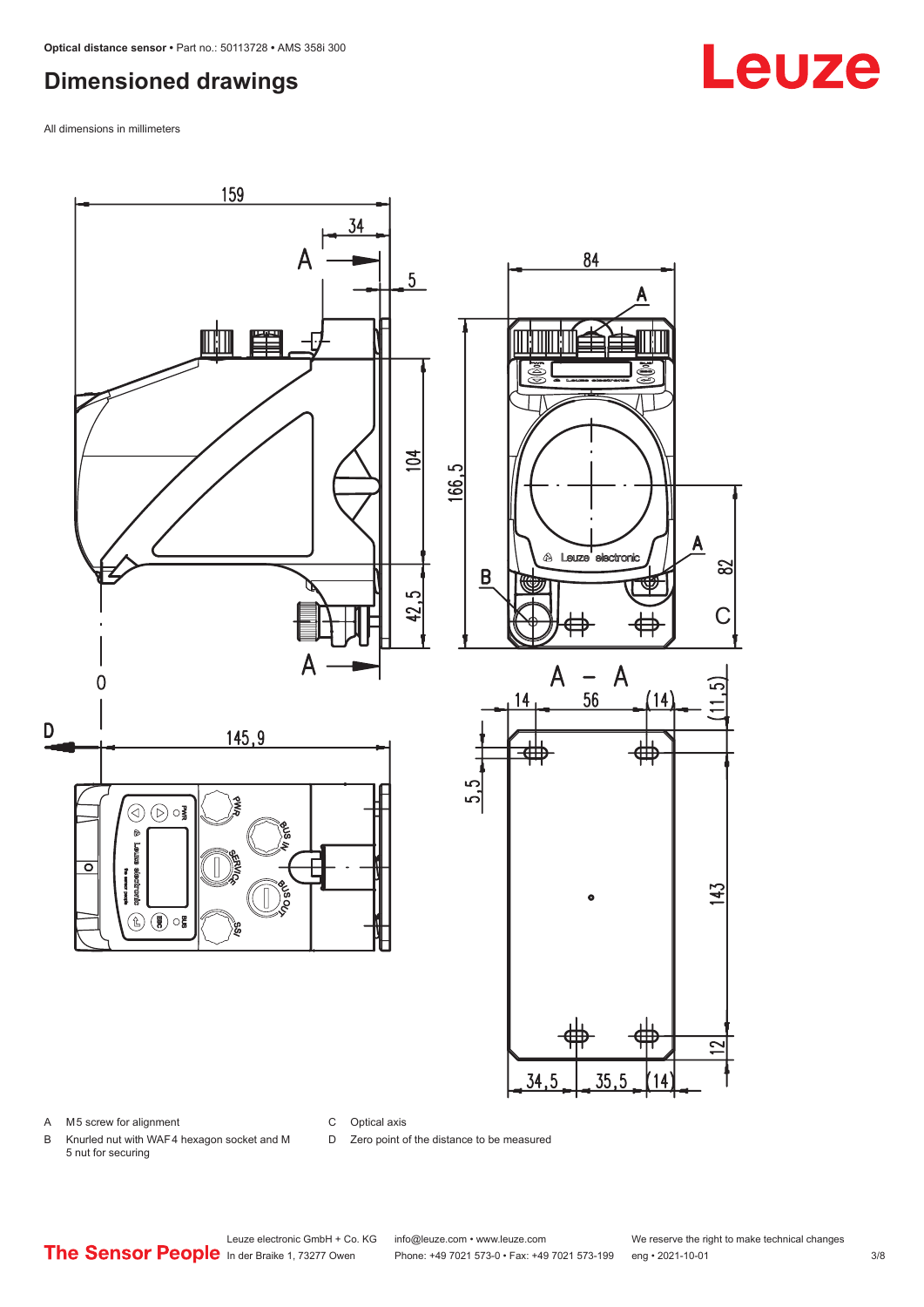#### <span id="page-2-0"></span>**Dimensioned drawings**

All dimensions in millimeters



A M5 screw for alignment

C Optical axis

D Zero point of the distance to be measured

B Knurled nut with WAF 4 hexagon socket and M 5 nut for securing

## **Leuze**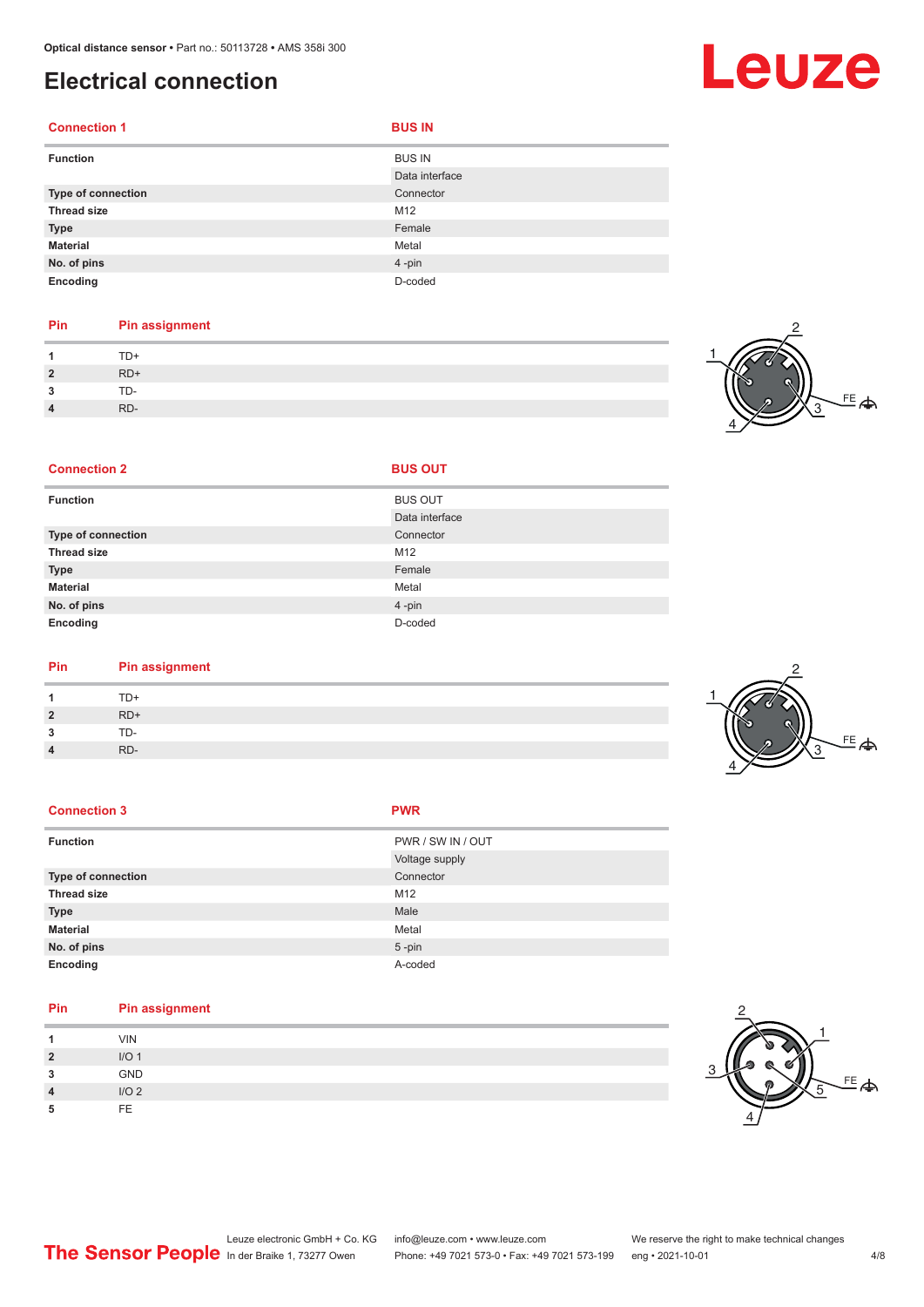#### <span id="page-3-0"></span>**Electrical connection**

| <b>Connection 1</b> | <b>BUS IN</b>                   |
|---------------------|---------------------------------|
| <b>Function</b>     | <b>BUS IN</b><br>Data interface |
| Type of connection  | Connector                       |
| <b>Thread size</b>  | M12                             |
| <b>Type</b>         | Female                          |
| <b>Material</b>     | Metal                           |
| No. of pins         | 4-pin                           |
| Encoding            | D-coded                         |

#### **Pin Pin assignment** 1 TD+<br>2 RD+ **2** RD+ **3** TD-**4** RD-

**Connection 2 BUS OUT** 



| <b>Function</b>    | <b>BUS OUT</b> |
|--------------------|----------------|
|                    | Data interface |
| Type of connection | Connector      |
| <b>Thread size</b> | M12            |
| <b>Type</b>        | Female         |
| <b>Material</b>    | Metal          |
| No. of pins        | 4-pin          |
| Encoding           | D-coded        |

| Pin | <b>Pin assignment</b> |
|-----|-----------------------|
|     | $TD+$                 |

| $\overline{2}$<br>$RD+$<br>TD-<br>3<br>RD-<br>$\overline{4}$ | 1 | $TD+$ |
|--------------------------------------------------------------|---|-------|
|                                                              |   |       |
|                                                              |   |       |
|                                                              |   |       |

| <b>Connection 3</b>       | <b>PWR</b>        |
|---------------------------|-------------------|
| <b>Function</b>           | PWR / SW IN / OUT |
|                           | Voltage supply    |
| <b>Type of connection</b> | Connector         |
| <b>Thread size</b>        | M12               |
| <b>Type</b>               | Male              |
| <b>Material</b>           | Metal             |
| No. of pins               | $5$ -pin          |
| Encoding                  | A-coded           |

| Pin            | <b>Pin assignment</b> |
|----------------|-----------------------|
|                | <b>VIN</b>            |
| $\overline{2}$ | I/O <sub>1</sub>      |
| 3              | <b>GND</b>            |
| 4              | I/O <sub>2</sub>      |
| 5              | FE.                   |



## Leuze

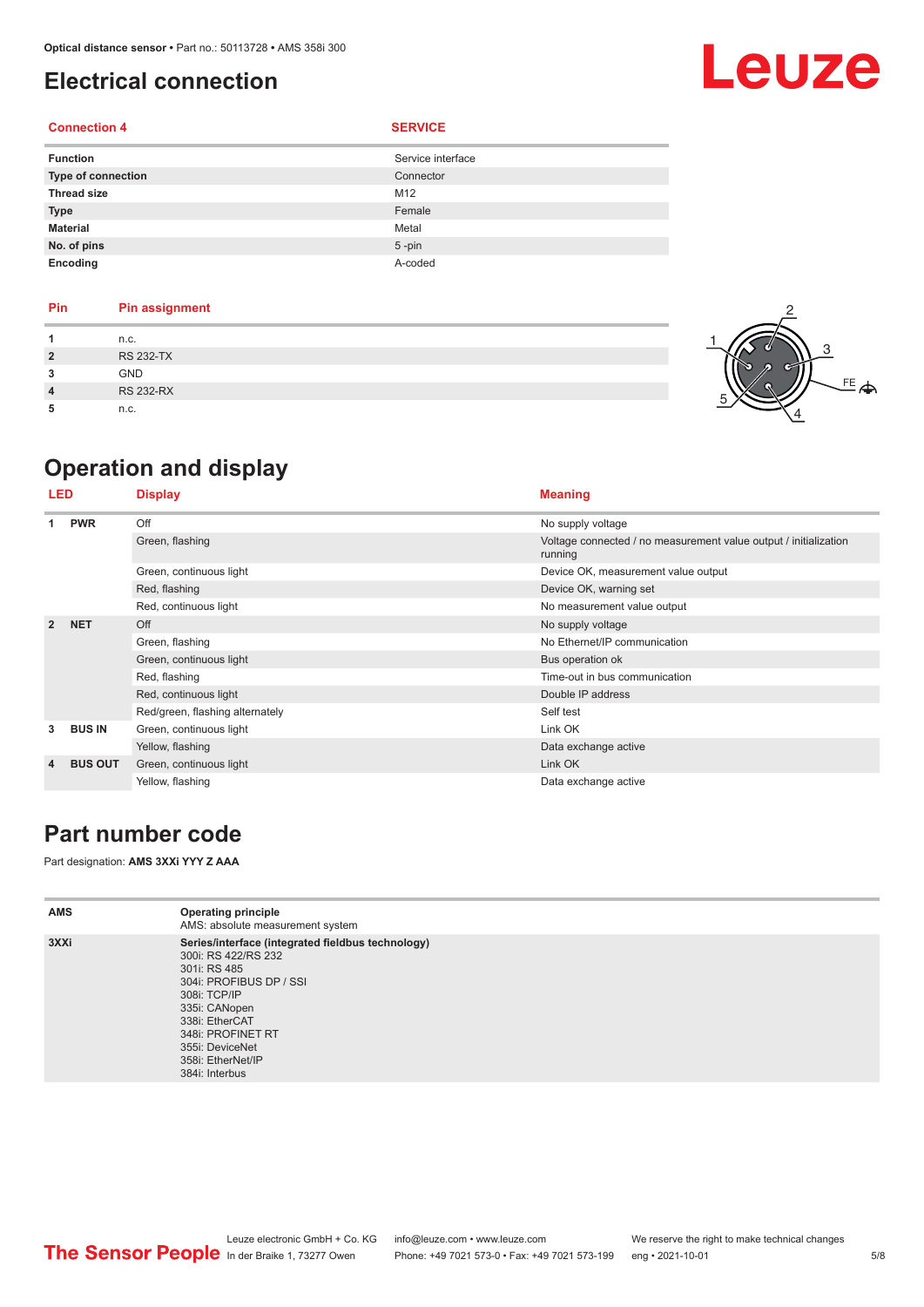#### <span id="page-4-0"></span>**Electrical connection**

#### **Connection 4 SERVICE**

| <b>Function</b>    | Service interface |
|--------------------|-------------------|
| Type of connection | Connector         |
| <b>Thread size</b> | M12               |
| <b>Type</b>        | Female            |
| <b>Material</b>    | Metal             |
| No. of pins        | $5 - pin$         |
| Encoding           | A-coded           |

#### **Pin Pin assignment 1** n.c. **2** RS 232-TX **3** GND **4** RS 232-RX

**5** n.c.

#### 3 1 5 4

### **Operation and display**

| LED            |                | <b>Display</b>                  | <b>Meaning</b>                                                              |
|----------------|----------------|---------------------------------|-----------------------------------------------------------------------------|
| 1              | <b>PWR</b>     | Off                             | No supply voltage                                                           |
|                |                | Green, flashing                 | Voltage connected / no measurement value output / initialization<br>running |
|                |                | Green, continuous light         | Device OK, measurement value output                                         |
|                |                | Red, flashing                   | Device OK, warning set                                                      |
|                |                | Red, continuous light           | No measurement value output                                                 |
| $\overline{2}$ | <b>NET</b>     | Off                             | No supply voltage                                                           |
|                |                | Green, flashing                 | No Ethernet/IP communication                                                |
|                |                | Green, continuous light         | Bus operation ok                                                            |
|                |                | Red, flashing                   | Time-out in bus communication                                               |
|                |                | Red, continuous light           | Double IP address                                                           |
|                |                | Red/green, flashing alternately | Self test                                                                   |
| 3              | <b>BUS IN</b>  | Green, continuous light         | Link OK                                                                     |
|                |                | Yellow, flashing                | Data exchange active                                                        |
| 4              | <b>BUS OUT</b> | Green, continuous light         | Link OK                                                                     |
|                |                | Yellow, flashing                | Data exchange active                                                        |

#### **Part number code**

Part designation: **AMS 3XXi YYY Z AAA**

| <b>AMS</b> | <b>Operating principle</b><br>AMS: absolute measurement system                                                                                                                                                                                        |
|------------|-------------------------------------------------------------------------------------------------------------------------------------------------------------------------------------------------------------------------------------------------------|
| 3XXi       | Series/interface (integrated fieldbus technology)<br>300i: RS 422/RS 232<br>301i: RS 485<br>304i: PROFIBUS DP / SSI<br>308i: TCP/IP<br>335i: CANopen<br>338i: EtherCAT<br>348i: PROFINET RT<br>355i: DeviceNet<br>358i: EtherNet/IP<br>384i: Interbus |



## Leuze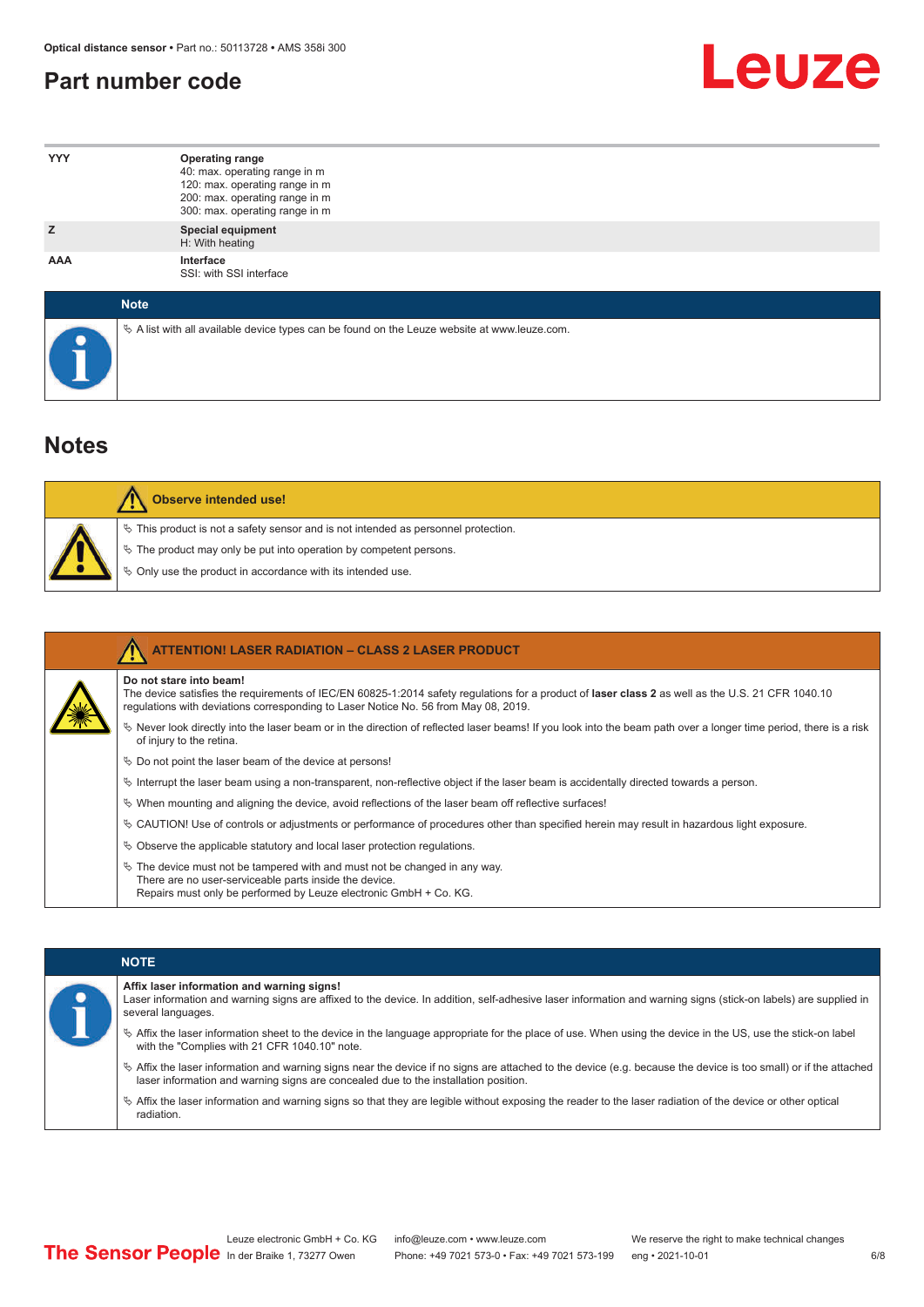#### <span id="page-5-0"></span>**Part number code**



| <b>YYY</b>  | <b>Operating range</b><br>40: max. operating range in m<br>120: max. operating range in m<br>200: max. operating range in m<br>300: max. operating range in m |
|-------------|---------------------------------------------------------------------------------------------------------------------------------------------------------------|
| z           | <b>Special equipment</b><br>H: With heating                                                                                                                   |
| <b>AAA</b>  | Interface<br>SSI: with SSI interface                                                                                                                          |
| <b>Note</b> |                                                                                                                                                               |

 $\%$  A list with all available device types can be found on the Leuze website at www.leuze.com.

#### **Notes**

| Observe intended use! |                                                                                                                                                                                                                               |  |  |  |
|-----------------------|-------------------------------------------------------------------------------------------------------------------------------------------------------------------------------------------------------------------------------|--|--|--|
|                       | $\%$ This product is not a safety sensor and is not intended as personnel protection.<br>§ The product may only be put into operation by competent persons.<br>$\%$ Only use the product in accordance with its intended use. |  |  |  |

|  | <b>ATTENTION! LASER RADIATION - CLASS 2 LASER PRODUCT</b>                                                                                                                                                                                                           |
|--|---------------------------------------------------------------------------------------------------------------------------------------------------------------------------------------------------------------------------------------------------------------------|
|  | Do not stare into beam!<br>The device satisfies the requirements of IEC/EN 60825-1:2014 safety requlations for a product of laser class 2 as well as the U.S. 21 CFR 1040.10<br>requlations with deviations corresponding to Laser Notice No. 56 from May 08, 2019. |
|  | Never look directly into the laser beam or in the direction of reflected laser beams! If you look into the beam path over a longer time period, there is a risk<br>of injury to the retina.                                                                         |
|  | $\%$ Do not point the laser beam of the device at persons!                                                                                                                                                                                                          |
|  | $\%$ Interrupt the laser beam using a non-transparent, non-reflective object if the laser beam is accidentally directed towards a person.                                                                                                                           |
|  | $\%$ When mounting and aligning the device, avoid reflections of the laser beam off reflective surfaces!                                                                                                                                                            |
|  | $\&$ CAUTION! Use of controls or adjustments or performance of procedures other than specified herein may result in hazardous light exposure.                                                                                                                       |
|  | $\%$ Observe the applicable statutory and local laser protection regulations.                                                                                                                                                                                       |
|  | $\ddot{\varphi}$ The device must not be tampered with and must not be changed in any way.<br>There are no user-serviceable parts inside the device.<br>Repairs must only be performed by Leuze electronic GmbH + Co. KG.                                            |

|  | <b>NOTE</b>                                                                                                                                                                                                                                                |
|--|------------------------------------------------------------------------------------------------------------------------------------------------------------------------------------------------------------------------------------------------------------|
|  | Affix laser information and warning signs!<br>Laser information and warning signs are affixed to the device. In addition, self-adhesive laser information and warning signs (stick-on labels) are supplied in<br>several languages.                        |
|  | the laser information sheet to the device in the language appropriate for the place of use. When using the device in the US, use the stick-on label<br>with the "Complies with 21 CFR 1040.10" note.                                                       |
|  | $\%$ Affix the laser information and warning signs near the device if no signs are attached to the device (e.g. because the device is too small) or if the attached<br>laser information and warning signs are concealed due to the installation position. |
|  | $\%$ Affix the laser information and warning signs so that they are legible without exposing the reader to the laser radiation of the device or other optical<br>radiation.                                                                                |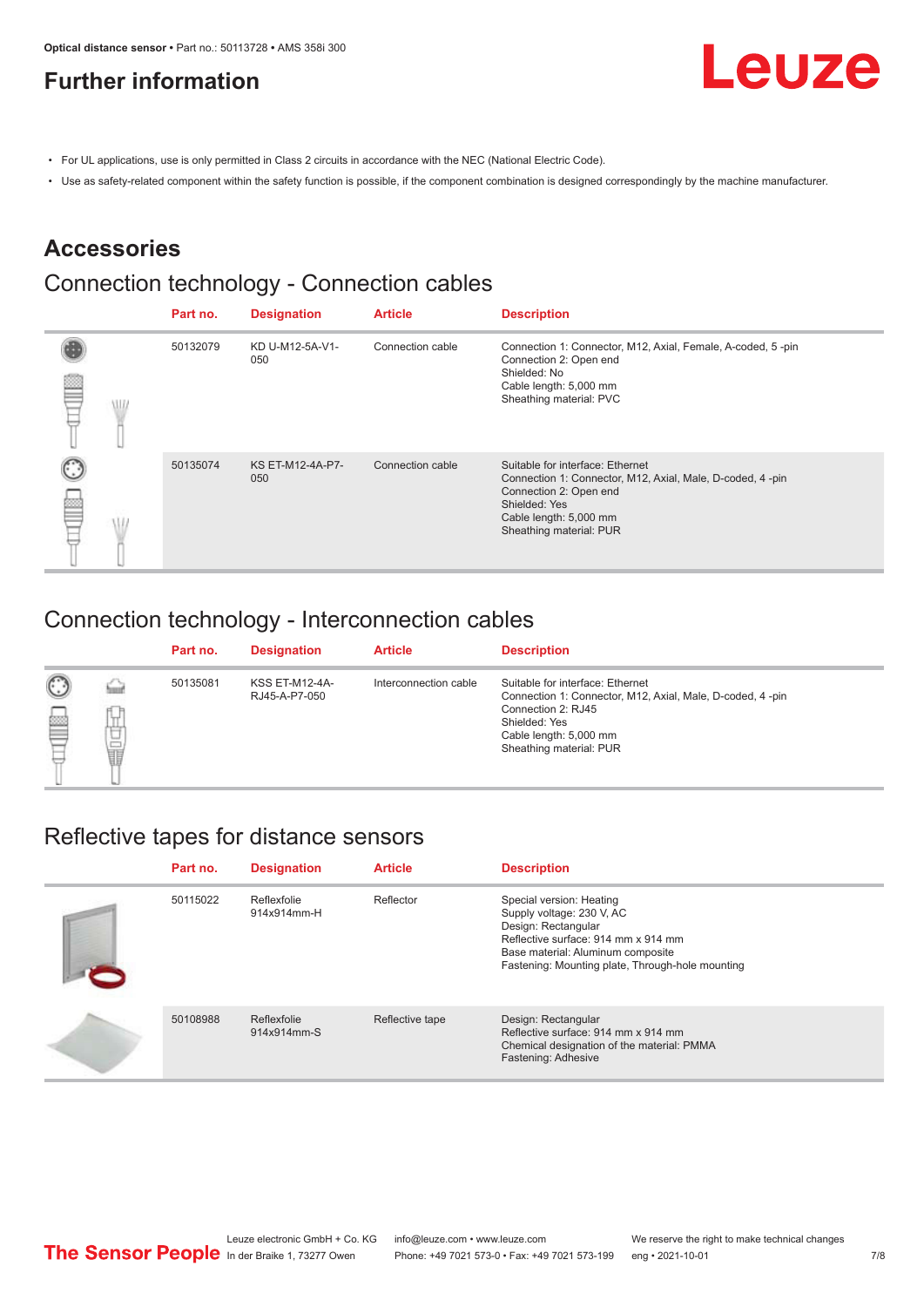#### <span id="page-6-0"></span>**Further information**



- For UL applications, use is only permitted in Class 2 circuits in accordance with the NEC (National Electric Code).
- Use as safety-related component within the safety function is possible, if the component combination is designed correspondingly by the machine manufacturer.

#### **Accessories**

### Connection technology - Connection cables

|  | Part no. | <b>Designation</b>      | <b>Article</b>   | <b>Description</b>                                                                                                                                                                            |
|--|----------|-------------------------|------------------|-----------------------------------------------------------------------------------------------------------------------------------------------------------------------------------------------|
|  | 50132079 | KD U-M12-5A-V1-<br>050  | Connection cable | Connection 1: Connector, M12, Axial, Female, A-coded, 5-pin<br>Connection 2: Open end<br>Shielded: No<br>Cable length: 5,000 mm<br>Sheathing material: PVC                                    |
|  | 50135074 | KS ET-M12-4A-P7-<br>050 | Connection cable | Suitable for interface: Ethernet<br>Connection 1: Connector, M12, Axial, Male, D-coded, 4-pin<br>Connection 2: Open end<br>Shielded: Yes<br>Cable length: 5,000 mm<br>Sheathing material: PUR |

#### Connection technology - Interconnection cables

|                   |             | Part no. | <b>Designation</b>                     | <b>Article</b>        | <b>Description</b>                                                                                                                                                                        |
|-------------------|-------------|----------|----------------------------------------|-----------------------|-------------------------------------------------------------------------------------------------------------------------------------------------------------------------------------------|
| $\mathbb{C}$<br>≝ | щ<br>⊔<br>Ī | 50135081 | <b>KSS ET-M12-4A-</b><br>RJ45-A-P7-050 | Interconnection cable | Suitable for interface: Ethernet<br>Connection 1: Connector, M12, Axial, Male, D-coded, 4-pin<br>Connection 2: RJ45<br>Shielded: Yes<br>Cable length: 5,000 mm<br>Sheathing material: PUR |

#### Reflective tapes for distance sensors

| Part no. | <b>Designation</b>         | <b>Article</b>  | <b>Description</b>                                                                                                                                                                                           |
|----------|----------------------------|-----------------|--------------------------------------------------------------------------------------------------------------------------------------------------------------------------------------------------------------|
| 50115022 | Reflexfolie<br>914x914mm-H | Reflector       | Special version: Heating<br>Supply voltage: 230 V, AC<br>Design: Rectangular<br>Reflective surface: 914 mm x 914 mm<br>Base material: Aluminum composite<br>Fastening: Mounting plate, Through-hole mounting |
| 50108988 | Reflexfolie<br>914x914mm-S | Reflective tape | Design: Rectangular<br>Reflective surface: 914 mm x 914 mm<br>Chemical designation of the material: PMMA<br>Fastening: Adhesive                                                                              |